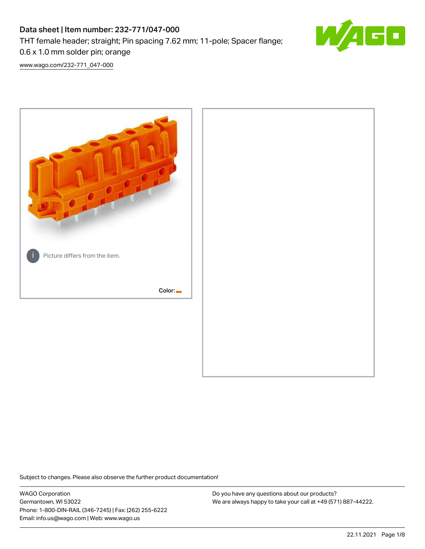# Data sheet | Item number: 232-771/047-000 THT female header; straight; Pin spacing 7.62 mm; 11-pole; Spacer flange; 0.6 x 1.0 mm solder pin; orange



[www.wago.com/232-771\\_047-000](http://www.wago.com/232-771_047-000)



Subject to changes. Please also observe the further product documentation!

WAGO Corporation Germantown, WI 53022 Phone: 1-800-DIN-RAIL (346-7245) | Fax: (262) 255-6222 Email: info.us@wago.com | Web: www.wago.us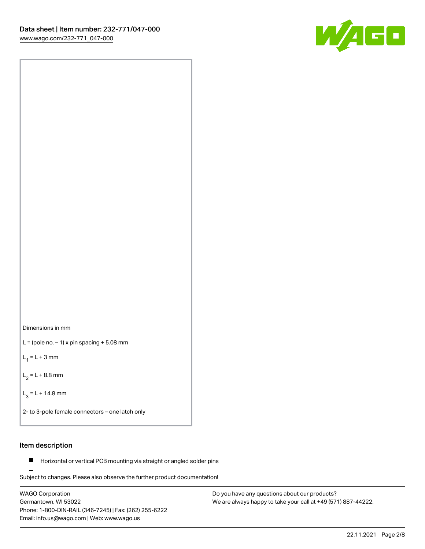

Dimensions in mm

 $L =$  (pole no.  $-1$ ) x pin spacing  $+5.08$  mm

 $L_1 = L + 3$  mm

 $L_2 = L + 8.8$  mm

 $L_3 = L + 14.8$  mm

2- to 3-pole female connectors – one latch only

#### Item description

**Horizontal or vertical PCB mounting via straight or angled solder pins** 

Subject to changes. Please also observe the further product documentation! For board-to-board and board-to-wire connections

WAGO Corporation Germantown, WI 53022 Phone: 1-800-DIN-RAIL (346-7245) | Fax: (262) 255-6222 Email: info.us@wago.com | Web: www.wago.us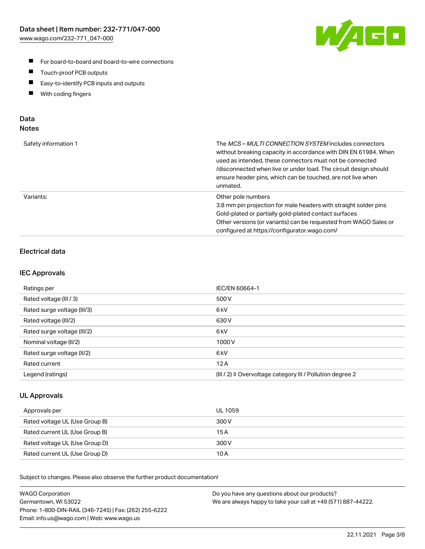

- For board-to-board and board-to-wire connections
- $\blacksquare$ Touch-proof PCB outputs
- $\blacksquare$ Easy-to-identify PCB inputs and outputs
- $\blacksquare$ With coding fingers

## Data **Notes**

| Safety information 1 | The <i>MCS – MULTI CONNECTION SYSTEM</i> includes connectors<br>without breaking capacity in accordance with DIN EN 61984. When<br>used as intended, these connectors must not be connected<br>/disconnected when live or under load. The circuit design should<br>ensure header pins, which can be touched, are not live when<br>unmated. |
|----------------------|--------------------------------------------------------------------------------------------------------------------------------------------------------------------------------------------------------------------------------------------------------------------------------------------------------------------------------------------|
| Variants:            | Other pole numbers<br>3.8 mm pin projection for male headers with straight solder pins<br>Gold-plated or partially gold-plated contact surfaces<br>Other versions (or variants) can be requested from WAGO Sales or<br>configured at https://configurator.wago.com/                                                                        |

# Electrical data

## IEC Approvals

| Ratings per                 | IEC/EN 60664-1                                                        |
|-----------------------------|-----------------------------------------------------------------------|
| Rated voltage (III / 3)     | 500 V                                                                 |
| Rated surge voltage (III/3) | 6kV                                                                   |
| Rated voltage (III/2)       | 630 V                                                                 |
| Rated surge voltage (III/2) | 6 <sub>kV</sub>                                                       |
| Nominal voltage (II/2)      | 1000 V                                                                |
| Rated surge voltage (II/2)  | 6 <sub>kV</sub>                                                       |
| Rated current               | 12A                                                                   |
| Legend (ratings)            | $(III / 2)$ $\triangle$ Overvoltage category III / Pollution degree 2 |

## UL Approvals

| Approvals per                  | UL 1059 |
|--------------------------------|---------|
| Rated voltage UL (Use Group B) | 300 V   |
| Rated current UL (Use Group B) | 15 A    |
| Rated voltage UL (Use Group D) | 300 V   |
| Rated current UL (Use Group D) | 10 A    |

Subject to changes. Please also observe the further product documentation!

| <b>WAGO Corporation</b>                                | Do you have any questions about our products?                 |
|--------------------------------------------------------|---------------------------------------------------------------|
| Germantown, WI 53022                                   | We are always happy to take your call at +49 (571) 887-44222. |
| Phone: 1-800-DIN-RAIL (346-7245)   Fax: (262) 255-6222 |                                                               |
| Email: info.us@wago.com   Web: www.wago.us             |                                                               |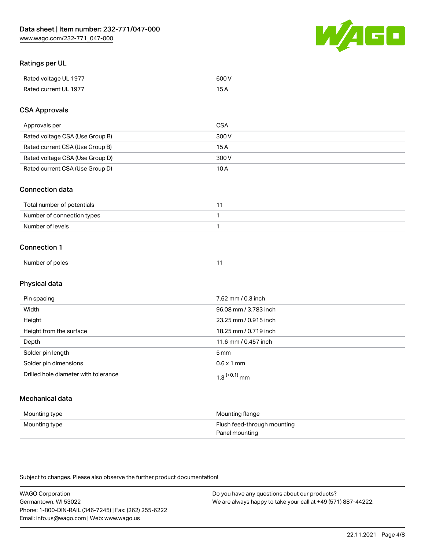W/AI 60

## Ratings per UL

| Rated voltage UL 1977   | coo I |
|-------------------------|-------|
|                         | .     |
| Rated current<br>UL 197 | ີ     |

## CSA Approvals

| Approvals per                   | CSA   |
|---------------------------------|-------|
| Rated voltage CSA (Use Group B) | 300 V |
| Rated current CSA (Use Group B) | 15 A  |
| Rated voltage CSA (Use Group D) | 300 V |
| Rated current CSA (Use Group D) | 10 A  |

## Connection data

| Total number of potentials |  |
|----------------------------|--|
| Number of connection types |  |
| Number of levels           |  |

#### Connection 1

| Number of poles |
|-----------------|
|-----------------|

## Physical data

| Pin spacing                          | 7.62 mm / 0.3 inch         |
|--------------------------------------|----------------------------|
| Width                                | 96.08 mm / 3.783 inch      |
| Height                               | 23.25 mm / 0.915 inch      |
| Height from the surface              | 18.25 mm / 0.719 inch      |
| Depth                                | 11.6 mm / 0.457 inch       |
| Solder pin length                    | $5 \,\mathrm{mm}$          |
| Solder pin dimensions                | $0.6 \times 1$ mm          |
| Drilled hole diameter with tolerance | $1.3$ <sup>(+0.1)</sup> mm |

# Mechanical data

| Mounting type | Mounting flange             |
|---------------|-----------------------------|
| Mounting type | Flush feed-through mounting |
|               | Panel mounting              |

Subject to changes. Please also observe the further product documentation!

WAGO Corporation Germantown, WI 53022 Phone: 1-800-DIN-RAIL (346-7245) | Fax: (262) 255-6222 Email: info.us@wago.com | Web: www.wago.us Do you have any questions about our products? We are always happy to take your call at +49 (571) 887-44222.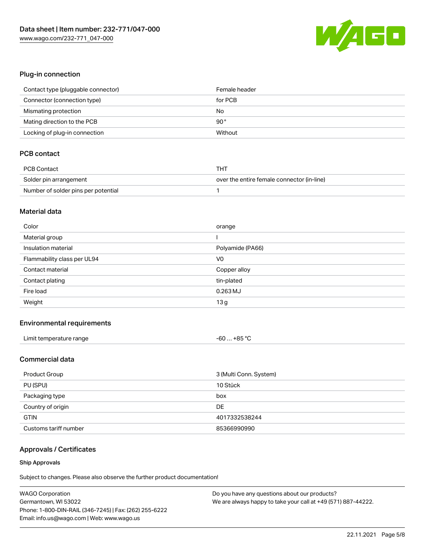

## Plug-in connection

| Contact type (pluggable connector) | Female header |
|------------------------------------|---------------|
| Connector (connection type)        | for PCB       |
| Mismating protection               | No            |
| Mating direction to the PCB        | $90^{\circ}$  |
| Locking of plug-in connection      | Without       |

# PCB contact

| PCB Contact                         | тнт                                        |
|-------------------------------------|--------------------------------------------|
| Solder pin arrangement              | over the entire female connector (in-line) |
| Number of solder pins per potential |                                            |

#### Material data

| Color                       | orange           |
|-----------------------------|------------------|
| Material group              |                  |
| Insulation material         | Polyamide (PA66) |
| Flammability class per UL94 | V <sub>0</sub>   |
| Contact material            | Copper alloy     |
| Contact plating             | tin-plated       |
| Fire load                   | $0.263$ MJ       |
| Weight                      | 13g              |

## Environmental requirements

| Limit temperature range | $-60+85$ °C |
|-------------------------|-------------|
|-------------------------|-------------|

# Commercial data

| Product Group         | 3 (Multi Conn. System) |
|-----------------------|------------------------|
| PU (SPU)              | 10 Stück               |
| Packaging type        | box                    |
| Country of origin     | DE                     |
| <b>GTIN</b>           | 4017332538244          |
| Customs tariff number | 85366990990            |

# Approvals / Certificates

#### Ship Approvals

Subject to changes. Please also observe the further product documentation!

| <b>WAGO Corporation</b>                                | Do you have any questions about our products?                 |
|--------------------------------------------------------|---------------------------------------------------------------|
| Germantown, WI 53022                                   | We are always happy to take your call at +49 (571) 887-44222. |
| Phone: 1-800-DIN-RAIL (346-7245)   Fax: (262) 255-6222 |                                                               |
| Email: info.us@wago.com   Web: www.wago.us             |                                                               |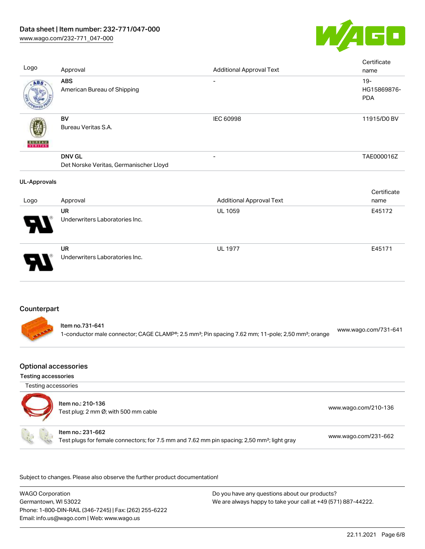



| Logo                | Approval                                                | <b>Additional Approval Text</b> | Certificate<br>name                 |
|---------------------|---------------------------------------------------------|---------------------------------|-------------------------------------|
| ABS                 | <b>ABS</b><br>American Bureau of Shipping               | $\overline{\phantom{a}}$        | $19 -$<br>HG15869876-<br><b>PDA</b> |
| <b>BUREAU</b>       | <b>BV</b><br>Bureau Veritas S.A.                        | IEC 60998                       | 11915/D0 BV                         |
|                     | <b>DNV GL</b><br>Det Norske Veritas, Germanischer Lloyd |                                 | TAE000016Z                          |
| <b>UL-Approvals</b> |                                                         |                                 |                                     |
| Logo                | Approval                                                | <b>Additional Approval Text</b> | Certificate<br>name                 |
|                     | <b>UR</b><br>Underwriters Laboratories Inc.             | <b>UL 1059</b>                  | E45172                              |
|                     | <b>UR</b><br>Underwriters Laboratories Inc.             | <b>UL 1977</b>                  | E45171                              |
| Counterpart         |                                                         |                                 |                                     |

| ltem no.731-641                                                                                                            | www.wago.com/731-641 |
|----------------------------------------------------------------------------------------------------------------------------|----------------------|
| 1-conductor male connector; CAGE CLAMP®; 2.5 mm <sup>2</sup> ; Pin spacing 7.62 mm; 11-pole; 2,50 mm <sup>2</sup> ; orange |                      |

# Optional accessories

Testing accessories

Testing accessories



.<br>Subject to changes. Please also observe the further product documentation!

WAGO Corporation Germantown, WI 53022 Phone: 1-800-DIN-RAIL (346-7245) | Fax: (262) 255-6222 Email: info.us@wago.com | Web: www.wago.us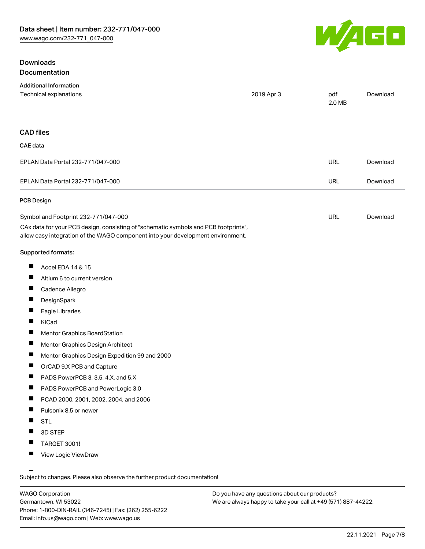## Downloads Documentation



| <b>Additional Information</b>                                                                                                                                          |            |               |          |
|------------------------------------------------------------------------------------------------------------------------------------------------------------------------|------------|---------------|----------|
| Technical explanations                                                                                                                                                 | 2019 Apr 3 | pdf<br>2.0 MB | Download |
|                                                                                                                                                                        |            |               |          |
| <b>CAD files</b>                                                                                                                                                       |            |               |          |
| CAE data                                                                                                                                                               |            |               |          |
| EPLAN Data Portal 232-771/047-000                                                                                                                                      |            | URL           | Download |
| EPLAN Data Portal 232-771/047-000                                                                                                                                      |            | <b>URL</b>    | Download |
| PCB Design                                                                                                                                                             |            |               |          |
| Symbol and Footprint 232-771/047-000                                                                                                                                   |            | URL           | Download |
| CAx data for your PCB design, consisting of "schematic symbols and PCB footprints",<br>allow easy integration of the WAGO component into your development environment. |            |               |          |
| <b>Supported formats:</b>                                                                                                                                              |            |               |          |

- $\blacksquare$ Accel EDA 14 & 15
- $\blacksquare$ Altium 6 to current version
- $\blacksquare$ Cadence Allegro
- $\blacksquare$ **DesignSpark**
- $\blacksquare$ Eagle Libraries
- $\blacksquare$ KiCad
- $\blacksquare$ Mentor Graphics BoardStation
- $\blacksquare$ Mentor Graphics Design Architect
- $\blacksquare$ Mentor Graphics Design Expedition 99 and 2000
- $\blacksquare$ OrCAD 9.X PCB and Capture
- $\blacksquare$ PADS PowerPCB 3, 3.5, 4.X, and 5.X
- $\blacksquare$ PADS PowerPCB and PowerLogic 3.0
- $\blacksquare$ PCAD 2000, 2001, 2002, 2004, and 2006
- $\blacksquare$ Pulsonix 8.5 or newer
- $\blacksquare$ STL
- П 3D STEP
- $\blacksquare$ TARGET 3001!
- $\blacksquare$ View Logic ViewDraw

Subject to changes. Please also observe the further product documentation!

WAGO Corporation Germantown, WI 53022 Phone: 1-800-DIN-RAIL (346-7245) | Fax: (262) 255-6222 Email: info.us@wago.com | Web: www.wago.us